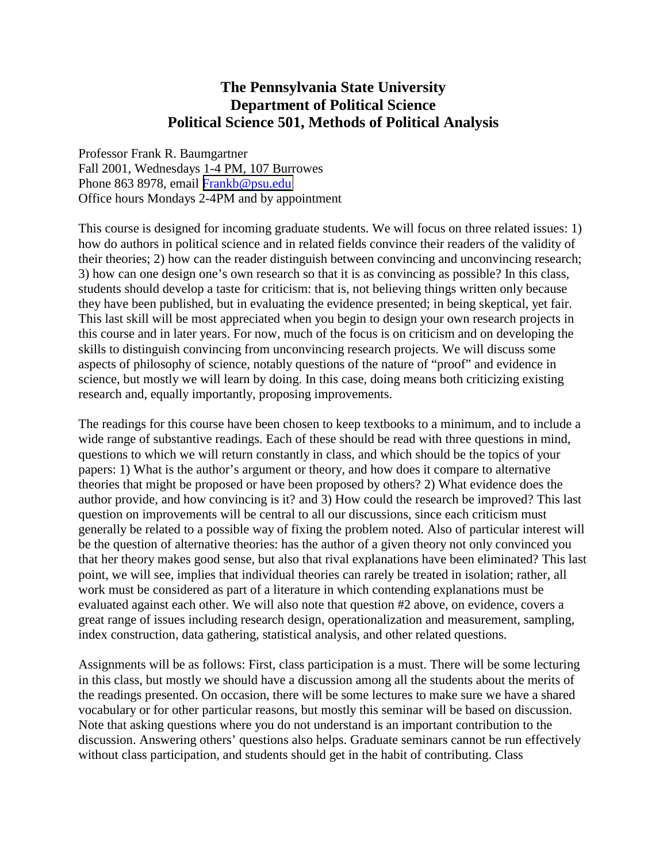## **The Pennsylvania State University Department of Political Science Political Science 501, Methods of Political Analysis**

Professor Frank R. Baumgartner Fall 2001, Wednesdays 1-4 PM, 107 Burrowes Phone 863 8978, email [Frankb@psu.edu](mailto:Frankb@psu.edu) Office hours Mondays 2-4PM and by appointment

This course is designed for incoming graduate students. We will focus on three related issues: 1) how do authors in political science and in related fields convince their readers of the validity of their theories; 2) how can the reader distinguish between convincing and unconvincing research; 3) how can one design one's own research so that it is as convincing as possible? In this class, students should develop a taste for criticism: that is, not believing things written only because they have been published, but in evaluating the evidence presented; in being skeptical, yet fair. This last skill will be most appreciated when you begin to design your own research projects in this course and in later years. For now, much of the focus is on criticism and on developing the skills to distinguish convincing from unconvincing research projects. We will discuss some aspects of philosophy of science, notably questions of the nature of "proof" and evidence in science, but mostly we will learn by doing. In this case, doing means both criticizing existing research and, equally importantly, proposing improvements.

The readings for this course have been chosen to keep textbooks to a minimum, and to include a wide range of substantive readings. Each of these should be read with three questions in mind, questions to which we will return constantly in class, and which should be the topics of your papers: 1) What is the author's argument or theory, and how does it compare to alternative theories that might be proposed or have been proposed by others? 2) What evidence does the author provide, and how convincing is it? and 3) How could the research be improved? This last question on improvements will be central to all our discussions, since each criticism must generally be related to a possible way of fixing the problem noted. Also of particular interest will be the question of alternative theories: has the author of a given theory not only convinced you that her theory makes good sense, but also that rival explanations have been eliminated? This last point, we will see, implies that individual theories can rarely be treated in isolation; rather, all work must be considered as part of a literature in which contending explanations must be evaluated against each other. We will also note that question #2 above, on evidence, covers a great range of issues including research design, operationalization and measurement, sampling, index construction, data gathering, statistical analysis, and other related questions.

Assignments will be as follows: First, class participation is a must. There will be some lecturing in this class, but mostly we should have a discussion among all the students about the merits of the readings presented. On occasion, there will be some lectures to make sure we have a shared vocabulary or for other particular reasons, but mostly this seminar will be based on discussion. Note that asking questions where you do not understand is an important contribution to the discussion. Answering others' questions also helps. Graduate seminars cannot be run effectively without class participation, and students should get in the habit of contributing. Class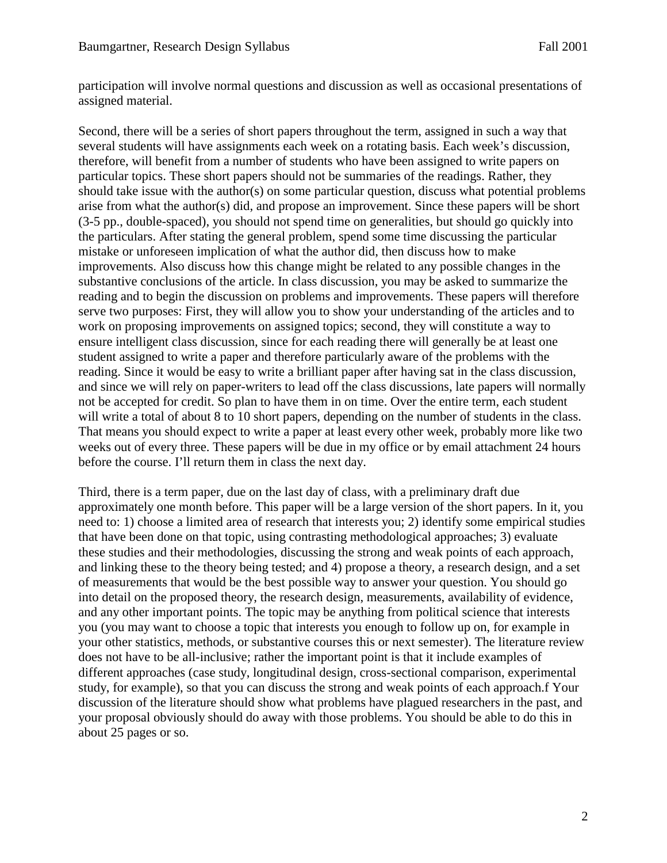participation will involve normal questions and discussion as well as occasional presentations of assigned material.

Second, there will be a series of short papers throughout the term, assigned in such a way that several students will have assignments each week on a rotating basis. Each week's discussion, therefore, will benefit from a number of students who have been assigned to write papers on particular topics. These short papers should not be summaries of the readings. Rather, they should take issue with the author(s) on some particular question, discuss what potential problems arise from what the author(s) did, and propose an improvement. Since these papers will be short (3-5 pp., double-spaced), you should not spend time on generalities, but should go quickly into the particulars. After stating the general problem, spend some time discussing the particular mistake or unforeseen implication of what the author did, then discuss how to make improvements. Also discuss how this change might be related to any possible changes in the substantive conclusions of the article. In class discussion, you may be asked to summarize the reading and to begin the discussion on problems and improvements. These papers will therefore serve two purposes: First, they will allow you to show your understanding of the articles and to work on proposing improvements on assigned topics; second, they will constitute a way to ensure intelligent class discussion, since for each reading there will generally be at least one student assigned to write a paper and therefore particularly aware of the problems with the reading. Since it would be easy to write a brilliant paper after having sat in the class discussion, and since we will rely on paper-writers to lead off the class discussions, late papers will normally not be accepted for credit. So plan to have them in on time. Over the entire term, each student will write a total of about 8 to 10 short papers, depending on the number of students in the class. That means you should expect to write a paper at least every other week, probably more like two weeks out of every three. These papers will be due in my office or by email attachment 24 hours before the course. I'll return them in class the next day.

Third, there is a term paper, due on the last day of class, with a preliminary draft due approximately one month before. This paper will be a large version of the short papers. In it, you need to: 1) choose a limited area of research that interests you; 2) identify some empirical studies that have been done on that topic, using contrasting methodological approaches; 3) evaluate these studies and their methodologies, discussing the strong and weak points of each approach, and linking these to the theory being tested; and 4) propose a theory, a research design, and a set of measurements that would be the best possible way to answer your question. You should go into detail on the proposed theory, the research design, measurements, availability of evidence, and any other important points. The topic may be anything from political science that interests you (you may want to choose a topic that interests you enough to follow up on, for example in your other statistics, methods, or substantive courses this or next semester). The literature review does not have to be all-inclusive; rather the important point is that it include examples of different approaches (case study, longitudinal design, cross-sectional comparison, experimental study, for example), so that you can discuss the strong and weak points of each approach.f Your discussion of the literature should show what problems have plagued researchers in the past, and your proposal obviously should do away with those problems. You should be able to do this in about 25 pages or so.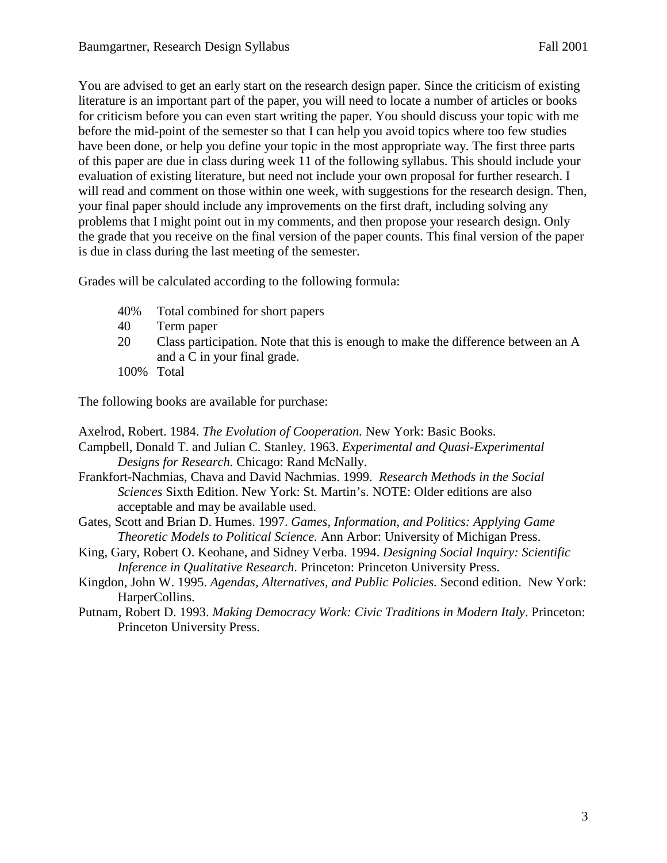You are advised to get an early start on the research design paper. Since the criticism of existing literature is an important part of the paper, you will need to locate a number of articles or books for criticism before you can even start writing the paper. You should discuss your topic with me before the mid-point of the semester so that I can help you avoid topics where too few studies have been done, or help you define your topic in the most appropriate way. The first three parts of this paper are due in class during week 11 of the following syllabus. This should include your evaluation of existing literature, but need not include your own proposal for further research. I will read and comment on those within one week, with suggestions for the research design. Then, your final paper should include any improvements on the first draft, including solving any problems that I might point out in my comments, and then propose your research design. Only the grade that you receive on the final version of the paper counts. This final version of the paper is due in class during the last meeting of the semester.

Grades will be calculated according to the following formula:

- 40% Total combined for short papers
- 40 Term paper
- 20 Class participation. Note that this is enough to make the difference between an A and a C in your final grade.
- 100% Total

The following books are available for purchase:

Axelrod, Robert. 1984. *The Evolution of Cooperation.* New York: Basic Books.

- Campbell, Donald T. and Julian C. Stanley. 1963. *Experimental and Quasi-Experimental Designs for Research.* Chicago: Rand McNally.
- Frankfort-Nachmias, Chava and David Nachmias. 1999. *Research Methods in the Social Sciences* Sixth Edition. New York: St. Martin's. NOTE: Older editions are also acceptable and may be available used.
- Gates, Scott and Brian D. Humes. 1997. *Games, Information, and Politics: Applying Game Theoretic Models to Political Science.* Ann Arbor: University of Michigan Press.
- King, Gary, Robert O. Keohane, and Sidney Verba. 1994. *Designing Social Inquiry: Scientific Inference in Qualitative Research*. Princeton: Princeton University Press.
- Kingdon, John W. 1995. *Agendas, Alternatives, and Public Policies.* Second edition. New York: HarperCollins.
- Putnam, Robert D. 1993. *Making Democracy Work: Civic Traditions in Modern Italy*. Princeton: Princeton University Press.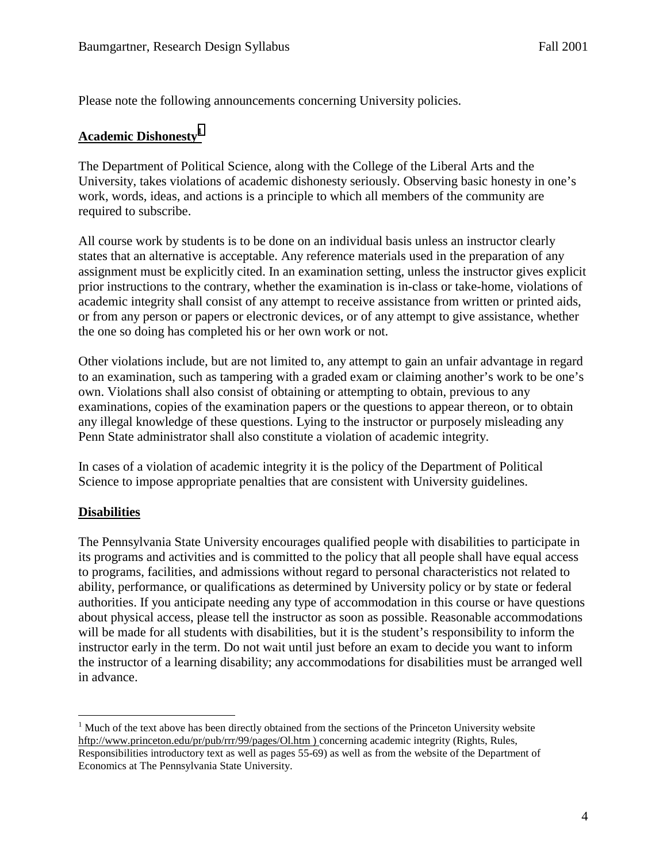Please note the following announcements concerning University policies.

#### **Academic Dishonesty<sup>1</sup>**

The Department of Political Science, along with the College of the Liberal Arts and the University, takes violations of academic dishonesty seriously. Observing basic honesty in one's work, words, ideas, and actions is a principle to which all members of the community are required to subscribe.

All course work by students is to be done on an individual basis unless an instructor clearly states that an alternative is acceptable. Any reference materials used in the preparation of any assignment must be explicitly cited. In an examination setting, unless the instructor gives explicit prior instructions to the contrary, whether the examination is in-class or take-home, violations of academic integrity shall consist of any attempt to receive assistance from written or printed aids, or from any person or papers or electronic devices, or of any attempt to give assistance, whether the one so doing has completed his or her own work or not.

Other violations include, but are not limited to, any attempt to gain an unfair advantage in regard to an examination, such as tampering with a graded exam or claiming another's work to be one's own. Violations shall also consist of obtaining or attempting to obtain, previous to any examinations, copies of the examination papers or the questions to appear thereon, or to obtain any illegal knowledge of these questions. Lying to the instructor or purposely misleading any Penn State administrator shall also constitute a violation of academic integrity.

In cases of a violation of academic integrity it is the policy of the Department of Political Science to impose appropriate penalties that are consistent with University guidelines.

#### **Disabilities**

The Pennsylvania State University encourages qualified people with disabilities to participate in its programs and activities and is committed to the policy that all people shall have equal access to programs, facilities, and admissions without regard to personal characteristics not related to ability, performance, or qualifications as determined by University policy or by state or federal authorities. If you anticipate needing any type of accommodation in this course or have questions about physical access, please tell the instructor as soon as possible. Reasonable accommodations will be made for all students with disabilities, but it is the student's responsibility to inform the instructor early in the term. Do not wait until just before an exam to decide you want to inform the instructor of a learning disability; any accommodations for disabilities must be arranged well in advance.

 $\overline{a}$  $1$  Much of the text above has been directly obtained from the sections of the Princeton University website hftp://www.princeton.edu/pr/pub/rrr/99/pages/Ol.htm ) concerning academic integrity (Rights, Rules, Responsibilities introductory text as well as pages 55-69) as well as from the website of the Department of Economics at The Pennsylvania State University.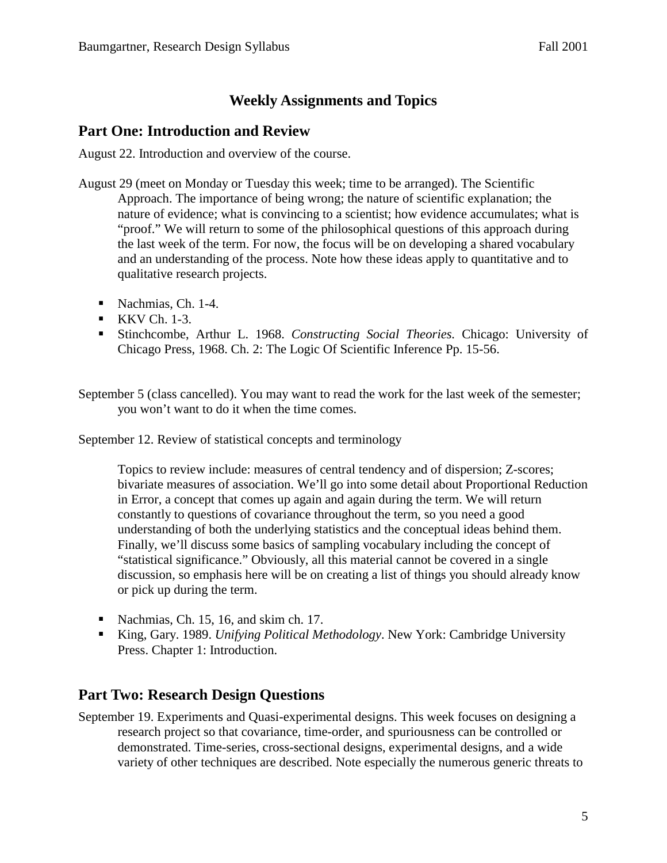# **Weekly Assignments and Topics**

### **Part One: Introduction and Review**

August 22. Introduction and overview of the course.

- August 29 (meet on Monday or Tuesday this week; time to be arranged). The Scientific Approach. The importance of being wrong; the nature of scientific explanation; the nature of evidence; what is convincing to a scientist; how evidence accumulates; what is "proof." We will return to some of the philosophical questions of this approach during the last week of the term. For now, the focus will be on developing a shared vocabulary and an understanding of the process. Note how these ideas apply to quantitative and to qualitative research projects.
	- Nachmias, Ch. 1-4.
	- $\blacksquare$  KKV Ch. 1-3.
	- Stinchcombe, Arthur L. 1968. *Constructing Social Theories.* Chicago: University of Chicago Press, 1968. Ch. 2: The Logic Of Scientific Inference Pp. 15-56.

September 5 (class cancelled). You may want to read the work for the last week of the semester; you won't want to do it when the time comes.

September 12. Review of statistical concepts and terminology

Topics to review include: measures of central tendency and of dispersion; Z-scores; bivariate measures of association. We'll go into some detail about Proportional Reduction in Error, a concept that comes up again and again during the term. We will return constantly to questions of covariance throughout the term, so you need a good understanding of both the underlying statistics and the conceptual ideas behind them. Finally, we'll discuss some basics of sampling vocabulary including the concept of "statistical significance." Obviously, all this material cannot be covered in a single discussion, so emphasis here will be on creating a list of things you should already know or pick up during the term.

- Nachmias, Ch. 15, 16, and skim ch. 17.
- King, Gary. 1989. *Unifying Political Methodology*. New York: Cambridge University Press. Chapter 1: Introduction.

## **Part Two: Research Design Questions**

September 19. Experiments and Quasi-experimental designs. This week focuses on designing a research project so that covariance, time-order, and spuriousness can be controlled or demonstrated. Time-series, cross-sectional designs, experimental designs, and a wide variety of other techniques are described. Note especially the numerous generic threats to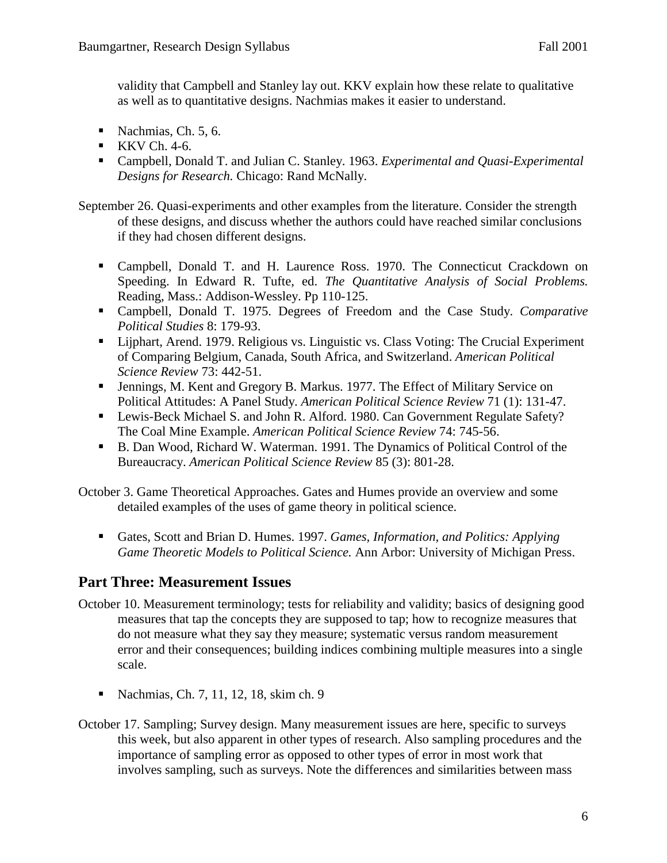validity that Campbell and Stanley lay out. KKV explain how these relate to qualitative as well as to quantitative designs. Nachmias makes it easier to understand.

- Nachmias, Ch.  $5, 6$ .
- $\blacksquare$  KKV Ch. 4-6.
- Campbell, Donald T. and Julian C. Stanley. 1963. *Experimental and Quasi-Experimental Designs for Research.* Chicago: Rand McNally.

September 26. Quasi-experiments and other examples from the literature. Consider the strength of these designs, and discuss whether the authors could have reached similar conclusions if they had chosen different designs.

- Campbell, Donald T. and H. Laurence Ross. 1970. The Connecticut Crackdown on Speeding. In Edward R. Tufte, ed. *The Quantitative Analysis of Social Problems.* Reading, Mass.: Addison-Wessley. Pp 110-125.
- Campbell, Donald T. 1975. Degrees of Freedom and the Case Study. *Comparative Political Studies* 8: 179-93.
- Lijphart, Arend. 1979. Religious vs. Linguistic vs. Class Voting: The Crucial Experiment of Comparing Belgium, Canada, South Africa, and Switzerland. *American Political Science Review* 73: 442-51.
- Jennings, M. Kent and Gregory B. Markus. 1977. The Effect of Military Service on Political Attitudes: A Panel Study. *American Political Science Review* 71 (1): 131-47.
- Lewis-Beck Michael S. and John R. Alford. 1980. Can Government Regulate Safety? The Coal Mine Example. *American Political Science Review* 74: 745-56.
- B. Dan Wood, Richard W. Waterman. 1991. The Dynamics of Political Control of the Bureaucracy. *American Political Science Review* 85 (3): 801-28.

October 3. Game Theoretical Approaches. Gates and Humes provide an overview and some detailed examples of the uses of game theory in political science.

 Gates, Scott and Brian D. Humes. 1997. *Games, Information, and Politics: Applying Game Theoretic Models to Political Science.* Ann Arbor: University of Michigan Press.

## **Part Three: Measurement Issues**

- October 10. Measurement terminology; tests for reliability and validity; basics of designing good measures that tap the concepts they are supposed to tap; how to recognize measures that do not measure what they say they measure; systematic versus random measurement error and their consequences; building indices combining multiple measures into a single scale.
	- Nachmias, Ch. 7, 11, 12, 18, skim ch. 9
- October 17. Sampling; Survey design. Many measurement issues are here, specific to surveys this week, but also apparent in other types of research. Also sampling procedures and the importance of sampling error as opposed to other types of error in most work that involves sampling, such as surveys. Note the differences and similarities between mass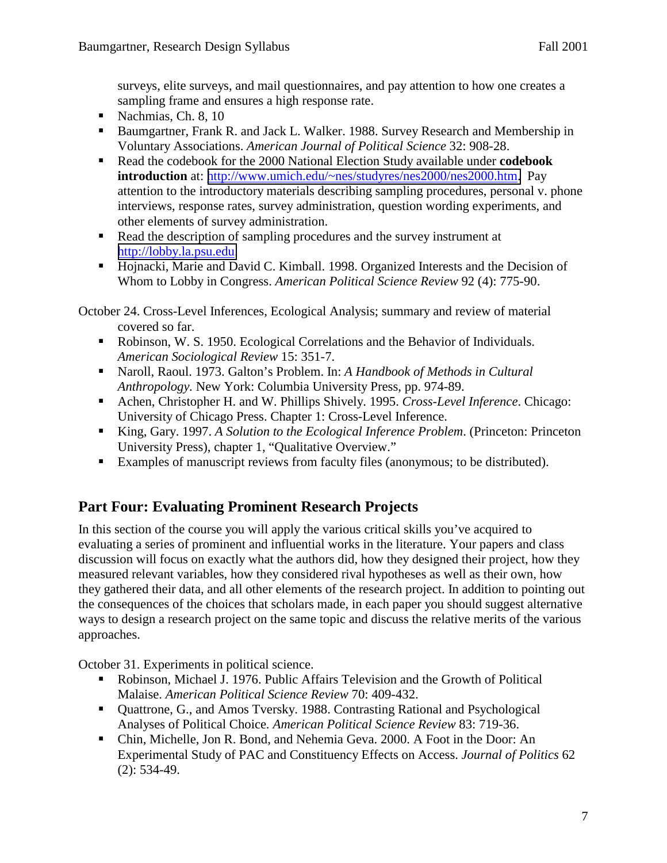surveys, elite surveys, and mail questionnaires, and pay attention to how one creates a sampling frame and ensures a high response rate.

- Nachmias, Ch. 8, 10
- Baumgartner, Frank R. and Jack L. Walker. 1988. Survey Research and Membership in Voluntary Associations. *American Journal of Political Science* 32: 908-28.
- Read the codebook for the 2000 National Election Study available under **codebook introduction** at: [http://www.umich.edu/~nes/studyres/nes2000/nes2000.htm.](http://www.umich.edu/~nes/studyres/nes2000/nes2000.htm) Pay attention to the introductory materials describing sampling procedures, personal v. phone interviews, response rates, survey administration, question wording experiments, and other elements of survey administration.
- Read the description of sampling procedures and the survey instrument at [http://lobby.la.psu.edu.](http://lobby.la.psu.edu/)
- Hojnacki, Marie and David C. Kimball. 1998. Organized Interests and the Decision of Whom to Lobby in Congress. *American Political Science Review* 92 (4): 775-90.

October 24. Cross-Level Inferences, Ecological Analysis; summary and review of material covered so far.

- Robinson, W. S. 1950. Ecological Correlations and the Behavior of Individuals. *American Sociological Review* 15: 351-7.
- Naroll, Raoul. 1973. Galton's Problem. In: *A Handbook of Methods in Cultural Anthropology.* New York: Columbia University Press, pp. 974-89.
- Achen, Christopher H. and W. Phillips Shively. 1995. *Cross-Level Inference*. Chicago: University of Chicago Press. Chapter 1: Cross-Level Inference.
- King, Gary. 1997. *A Solution to the Ecological Inference Problem*. (Princeton: Princeton University Press), chapter 1, "Qualitative Overview."
- Examples of manuscript reviews from faculty files (anonymous; to be distributed).

# **Part Four: Evaluating Prominent Research Projects**

In this section of the course you will apply the various critical skills you've acquired to evaluating a series of prominent and influential works in the literature. Your papers and class discussion will focus on exactly what the authors did, how they designed their project, how they measured relevant variables, how they considered rival hypotheses as well as their own, how they gathered their data, and all other elements of the research project. In addition to pointing out the consequences of the choices that scholars made, in each paper you should suggest alternative ways to design a research project on the same topic and discuss the relative merits of the various approaches.

October 31. Experiments in political science.

- Robinson, Michael J. 1976. Public Affairs Television and the Growth of Political Malaise. *American Political Science Review* 70: 409-432.
- Quattrone, G., and Amos Tversky. 1988. Contrasting Rational and Psychological Analyses of Political Choice*. American Political Science Review* 83: 719-36.
- Chin, Michelle, Jon R. Bond, and Nehemia Geva. 2000. A Foot in the Door: An Experimental Study of PAC and Constituency Effects on Access. *Journal of Politics* 62 (2): 534-49.